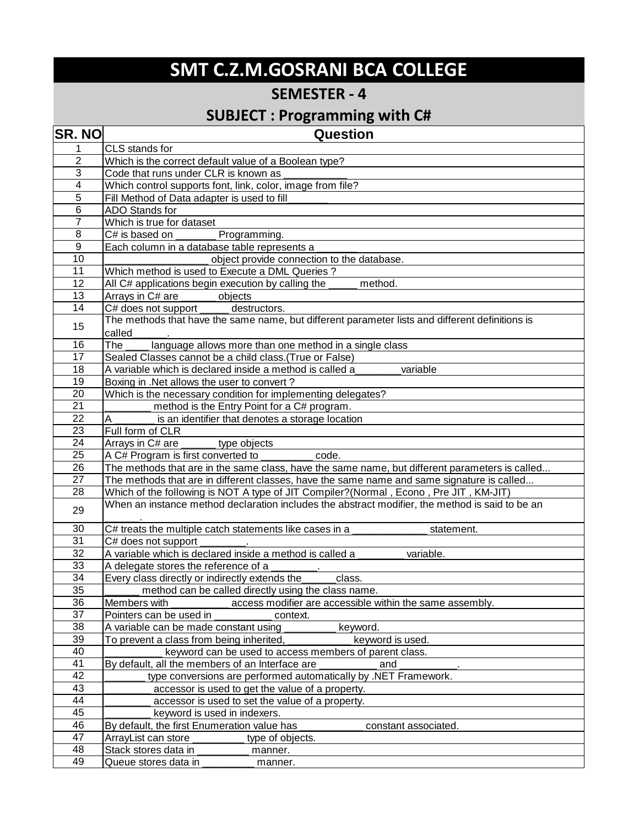## **SMT C.Z.M.GOSRANI BCA COLLEGE**

## **SEMESTER - 4**

## **SUBJECT : Programming with C#**

| <b>SR. NO</b>           | Question                                                                                        |
|-------------------------|-------------------------------------------------------------------------------------------------|
| 1                       | CLS stands for                                                                                  |
| $\mathbf 2$             | Which is the correct default value of a Boolean type?                                           |
| $\overline{3}$          | Code that runs under CLR is known as                                                            |
| $\overline{\mathbf{4}}$ | Which control supports font, link, color, image from file?                                      |
| 5                       | Fill Method of Data adapter is used to fill                                                     |
| 6                       | ADO Stands for                                                                                  |
| $\overline{7}$          | Which is true for dataset                                                                       |
| $\overline{8}$          | C# is based on<br>Programming.                                                                  |
| 9                       | Each column in a database table represents a                                                    |
| 10                      | object provide connection to the database.                                                      |
| 11                      | Which method is used to Execute a DML Queries ?                                                 |
| 12                      | All C# applications begin execution by calling the _____<br>method.                             |
| 13                      | Arrays in C# are ______<br>objects                                                              |
| $\overline{14}$         | C# does not support _____<br>destructors.                                                       |
| 15                      | The methods that have the same name, but different parameter lists and different definitions is |
|                         | called                                                                                          |
| 16                      | The<br>language allows more than one method in a single class                                   |
| 17                      | Sealed Classes cannot be a child class. (True or False)                                         |
| 18                      | A variable which is declared inside a method is called a<br>variable                            |
| 19                      | Boxing in .Net allows the user to convert?                                                      |
| 20                      | Which is the necessary condition for implementing delegates?                                    |
| 21                      | method is the Entry Point for a C# program.                                                     |
| 22                      | is an identifier that denotes a storage location                                                |
| 23                      | Full form of CLR                                                                                |
| $\overline{24}$         | Arrays in C# are _<br>type objects                                                              |
| 25                      | A C# Program is first converted to<br>code.                                                     |
| 26                      | The methods that are in the same class, have the same name, but different parameters is called  |
| 27                      | The methods that are in different classes, have the same name and same signature is called      |
| 28                      | Which of the following is NOT A type of JIT Compiler?(Normal, Econo, Pre JIT, KM-JIT)           |
| 29                      | When an instance method declaration includes the abstract modifier, the method is said to be an |
| 30                      | C# treats the multiple catch statements like cases in a<br>statement.                           |
| $\overline{31}$         | C# does not support                                                                             |
| 32                      | A variable which is declared inside a method is called a<br>variable.                           |
| 33                      | A delegate stores the reference of a                                                            |
| 34                      | Every class directly or indirectly extends the<br>class.                                        |
| 35                      | method can be called directly using the class name.                                             |
| 36                      | access modifier are accessible within the same assembly.<br>Members with                        |
| 37                      | Pointers can be used in<br>context.                                                             |
| 38                      | A variable can be made constant using<br>keyword.                                               |
| 39                      | keyword is used.<br>To prevent a class from being inherited,                                    |
| 40                      | keyword can be used to access members of parent class.                                          |
| 41                      | By default, all the members of an Interface are<br>and                                          |
| 42                      | type conversions are performed automatically by .NET Framework.                                 |
| 43                      | accessor is used to get the value of a property.                                                |
| 44                      | accessor is used to set the value of a property.                                                |
| 45                      | keyword is used in indexers.                                                                    |
| 46                      | By default, the first Enumeration value has<br>constant associated.                             |
| $\overline{47}$         | ArrayList can store<br>type of objects.                                                         |
| 48                      | Stack stores data in<br>manner.                                                                 |
| 49                      | Queue stores data in <b>was a continuum</b><br>manner.                                          |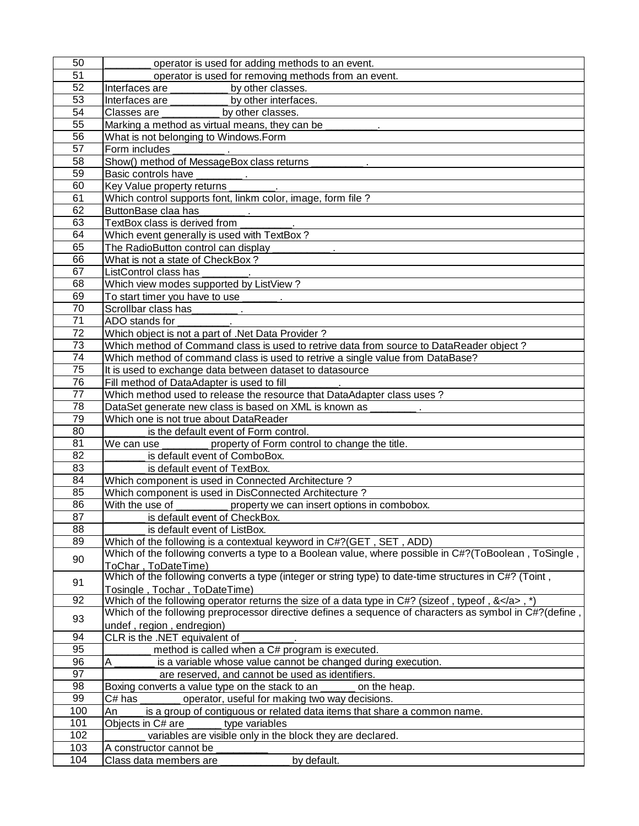| 50              | operator is used for adding methods to an event.                                                                                        |
|-----------------|-----------------------------------------------------------------------------------------------------------------------------------------|
| 51              | operator is used for removing methods from an event.                                                                                    |
| 52              | Interfaces are ____________ by other classes.                                                                                           |
| 53              | Interfaces are ____________ by other interfaces.                                                                                        |
| 54              | Classes are ____________ by other classes.                                                                                              |
| 55              | Marking a method as virtual means, they can be _________.                                                                               |
| 56              | What is not belonging to Windows.Form                                                                                                   |
| 57              | Form includes                                                                                                                           |
| 58              | Show() method of MessageBox class returns _____________.                                                                                |
| 59              | Basic controls have                                                                                                                     |
| 60              | Key Value property returns _________.                                                                                                   |
| 61              | Which control supports font, linkm color, image, form file?                                                                             |
| 62              | ButtonBase claa has __________.                                                                                                         |
| 63              | TextBox class is derived from                                                                                                           |
| 64              | Which event generally is used with TextBox?                                                                                             |
| 65              |                                                                                                                                         |
| 66              | What is not a state of CheckBox?                                                                                                        |
| 67              | ListControl class has                                                                                                                   |
| 68              | Which view modes supported by ListView?                                                                                                 |
| 69              | To start timer you have to use _______.                                                                                                 |
| 70              |                                                                                                                                         |
| 71              | ADO stands for                                                                                                                          |
| $\overline{72}$ | Which object is not a part of .Net Data Provider?                                                                                       |
| 73              | Which method of Command class is used to retrive data from source to DataReader object?                                                 |
| $\overline{74}$ | Which method of command class is used to retrive a single value from DataBase?                                                          |
| $\overline{75}$ | It is used to exchange data between dataset to datasource                                                                               |
| 76              | Fill method of DataAdapter is used to fill                                                                                              |
| $\overline{77}$ | Which method used to release the resource that DataAdapter class uses?                                                                  |
| 78              | DataSet generate new class is based on XML is known as                                                                                  |
| 79              | Which one is not true about DataReader                                                                                                  |
| $\overline{80}$ | is the default event of Form control.                                                                                                   |
| 81<br>82        | We can use ________ property of Form control to change the title.                                                                       |
| 83              | is default event of ComboBox.<br>is default event of TextBox.                                                                           |
| 84              | Which component is used in Connected Architecture?                                                                                      |
| 85              | Which component is used in DisConnected Architecture?                                                                                   |
| 86              | With the use of ___________ property we can insert options in combobox.                                                                 |
| 87              | is default event of CheckBox.                                                                                                           |
| 88              | is default event of ListBox.                                                                                                            |
| 89              | Which of the following is a contextual keyword in C#?(GET, SET, ADD)                                                                    |
| 90              | Which of the following converts a type to a Boolean value, where possible in C#?(ToBoolean, ToSingle,<br>ToChar, ToDateTime)            |
| 91              | Which of the following converts a type (integer or string type) to date-time structures in C#? (Toint,<br>Tosingle, Tochar, ToDateTime) |
| 92              | Which of the following operator returns the size of a data type in C#? (sizeof, typeof, $</a>$ , *)                                     |
| 93              | Which of the following preprocessor directive defines a sequence of characters as symbol in C#?(define,                                 |
|                 | undef, region, endregion)                                                                                                               |
| 94              | CLR is the .NET equivalent of                                                                                                           |
| 95              | method is called when a C# program is executed.                                                                                         |
| 96<br>97        | A<br>is a variable whose value cannot be changed during execution.                                                                      |
|                 | are reserved, and cannot be used as identifiers.                                                                                        |
| 98<br>99        | Boxing converts a value type on the stack to an<br>on the heap.                                                                         |
| 100             | C# has<br>operator, useful for making two way decisions.<br>An                                                                          |
| 101             | is a group of contiguous or related data items that share a common name.<br>Objects in C# are<br>type variables                         |
| 102             | variables are visible only in the block they are declared.                                                                              |
| 103             | A constructor cannot be                                                                                                                 |
| 104             | Class data members are<br>by default.                                                                                                   |
|                 |                                                                                                                                         |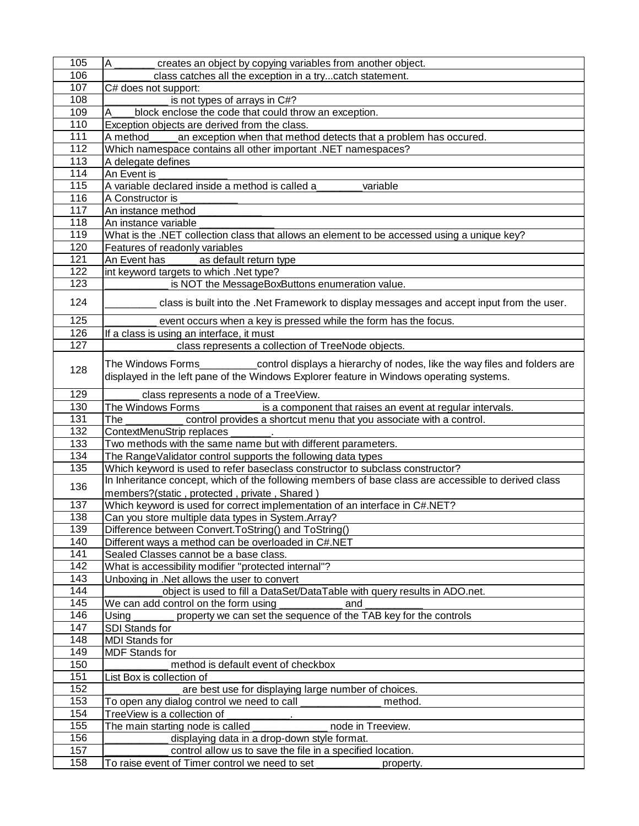|     | $\overline{A}$<br>creates an object by copying variables from another object.                                                                                                                     |
|-----|---------------------------------------------------------------------------------------------------------------------------------------------------------------------------------------------------|
| 106 | class catches all the exception in a trycatch statement.                                                                                                                                          |
| 107 | C# does not support:                                                                                                                                                                              |
| 108 | is not types of arrays in C#?                                                                                                                                                                     |
| 109 | block enclose the code that could throw an exception.<br>A                                                                                                                                        |
| 110 | Exception objects are derived from the class.                                                                                                                                                     |
| 111 | A method<br>an exception when that method detects that a problem has occured.                                                                                                                     |
| 112 | Which namespace contains all other important .NET namespaces?                                                                                                                                     |
| 113 | A delegate defines                                                                                                                                                                                |
| 114 | An Event is                                                                                                                                                                                       |
| 115 | A variable declared inside a method is called a<br>variable                                                                                                                                       |
| 116 | A Constructor is                                                                                                                                                                                  |
| 117 | An instance method                                                                                                                                                                                |
| 118 | An instance variable                                                                                                                                                                              |
| 119 | What is the .NET collection class that allows an element to be accessed using a unique key?                                                                                                       |
| 120 | Features of readonly variables                                                                                                                                                                    |
| 121 | An Event has<br>as default return type                                                                                                                                                            |
| 122 | int keyword targets to which .Net type?                                                                                                                                                           |
| 123 | is NOT the MessageBoxButtons enumeration value.                                                                                                                                                   |
|     |                                                                                                                                                                                                   |
| 124 | class is built into the .Net Framework to display messages and accept input from the user.                                                                                                        |
| 125 | event occurs when a key is pressed while the form has the focus.                                                                                                                                  |
| 126 | If a class is using an interface, it must                                                                                                                                                         |
| 127 | class represents a collection of TreeNode objects.                                                                                                                                                |
| 128 | The Windows Forms___________control displays a hierarchy of nodes, like the way files and folders are<br>displayed in the left pane of the Windows Explorer feature in Windows operating systems. |
| 129 | class represents a node of a TreeView.                                                                                                                                                            |
| 130 | The Windows Forms<br>is a component that raises an event at regular intervals.                                                                                                                    |
| 131 | The<br>control provides a shortcut menu that you associate with a control.                                                                                                                        |
| 132 | ContextMenuStrip replaces                                                                                                                                                                         |
|     |                                                                                                                                                                                                   |
| 133 | Two methods with the same name but with different parameters.                                                                                                                                     |
| 134 | The RangeValidator control supports the following data types                                                                                                                                      |
| 135 | Which keyword is used to refer baseclass constructor to subclass constructor?                                                                                                                     |
|     | In Inheritance concept, which of the following members of base class are accessible to derived class                                                                                              |
| 136 | members?(static, protected, private, Shared)                                                                                                                                                      |
| 137 | Which keyword is used for correct implementation of an interface in C#.NET?                                                                                                                       |
| 138 | Can you store multiple data types in System. Array?                                                                                                                                               |
| 139 | Difference between Convert. ToString() and ToString()                                                                                                                                             |
| 140 | Different ways a method can be overloaded in C#.NET                                                                                                                                               |
| 141 | Sealed Classes cannot be a base class.                                                                                                                                                            |
| 142 | What is accessibility modifier "protected internal"?                                                                                                                                              |
| 143 | Unboxing in .Net allows the user to convert                                                                                                                                                       |
| 144 | object is used to fill a DataSet/DataTable with query results in ADO.net.                                                                                                                         |
| 145 | We can add control on the form using<br>and                                                                                                                                                       |
| 146 | property we can set the sequence of the TAB key for the controls<br>Using                                                                                                                         |
| 147 | SDI Stands for                                                                                                                                                                                    |
| 148 | <b>MDI Stands for</b>                                                                                                                                                                             |
| 149 | <b>MDF</b> Stands for                                                                                                                                                                             |
| 150 | method is default event of checkbox                                                                                                                                                               |
| 151 | List Box is collection of                                                                                                                                                                         |
| 152 | are best use for displaying large number of choices.                                                                                                                                              |
| 153 | To open any dialog control we need to call<br>method.                                                                                                                                             |
| 154 | TreeView is a collection of                                                                                                                                                                       |
| 155 | The main starting node is called<br>node in Treeview.                                                                                                                                             |
| 156 | displaying data in a drop-down style format.                                                                                                                                                      |
| 157 | control allow us to save the file in a specified location.                                                                                                                                        |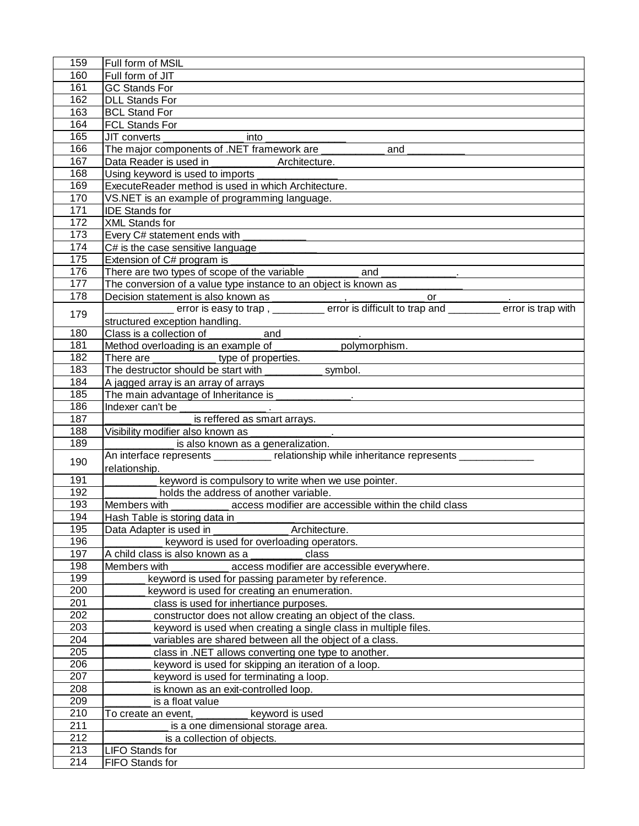| 159              | Full form of MSIL                                                                                                          |
|------------------|----------------------------------------------------------------------------------------------------------------------------|
| 160              | Full form of JIT                                                                                                           |
| 161              | <b>GC Stands For</b>                                                                                                       |
| 162              | <b>DLL Stands For</b>                                                                                                      |
| 163              | <b>BCL Stand For</b>                                                                                                       |
| 164              | <b>FCL Stands For</b>                                                                                                      |
| 165              | into<br>JIT converts                                                                                                       |
| 166              | The major components of .NET framework are _____________ and                                                               |
| 167              |                                                                                                                            |
| 168              | Using keyword is used to imports                                                                                           |
| 169              | ExecuteReader method is used in which Architecture.                                                                        |
| 170              | VS.NET is an example of programming language.                                                                              |
| 171              | <b>IDE Stands for</b>                                                                                                      |
| 172              | <b>XML Stands for</b>                                                                                                      |
| 173              | Every C# statement ends with                                                                                               |
| 174              | C# is the case sensitive language                                                                                          |
| 175              | Extension of C# program is                                                                                                 |
| 176              | There are two types of scope of the variable ___________________________________.                                          |
| 177              | The conversion of a value type instance to an object is known as _________                                                 |
| 178              | Decision statement is also known as                                                                                        |
| 179              |                                                                                                                            |
|                  | structured exception handling.                                                                                             |
| 180              | Class is a collection of _____________ and _________                                                                       |
| 181              | Method overloading is an example of ____________ polymorphism.                                                             |
| 182              | There are ______________ type of properties.                                                                               |
| 183              | The destructor should be start with ____________ symbol.                                                                   |
| 184              | A jagged array is an array of arrays                                                                                       |
| 185              | The main advantage of Inheritance is ______________.                                                                       |
| 186              |                                                                                                                            |
| 187              | is reffered as smart arrays.                                                                                               |
| 188<br>189       | Visibility modifier also known as _______________.                                                                         |
|                  | is also known as a generalization.<br>An interface represents __________ relationship while inheritance represents _______ |
| 190              | relationship.                                                                                                              |
| 191              | keyword is compulsory to write when we use pointer.                                                                        |
| 192              | holds the address of another variable.                                                                                     |
| 193              | Members with access modifier are accessible within the child class                                                         |
| 194              | Hash Table is storing data in                                                                                              |
| 195              | Data Adapter is used in<br>Architecture.                                                                                   |
| 196              | keyword is used for overloading operators.                                                                                 |
| 197              | A child class is also known as a<br>class                                                                                  |
| 198              | Members with<br>access modifier are accessible everywhere.                                                                 |
| 199              | keyword is used for passing parameter by reference.                                                                        |
| 200              | keyword is used for creating an enumeration.                                                                               |
| 201              | class is used for inhertiance purposes.                                                                                    |
| 202              | constructor does not allow creating an object of the class.                                                                |
| 203              | keyword is used when creating a single class in multiple files.                                                            |
| 204              | variables are shared between all the object of a class.                                                                    |
| 205              | class in .NET allows converting one type to another.                                                                       |
| 206              | keyword is used for skipping an iteration of a loop.                                                                       |
| 207              | keyword is used for terminating a loop.                                                                                    |
| 208              | is known as an exit-controlled loop.                                                                                       |
| 209              | is a float value                                                                                                           |
| 210              | keyword is used<br>To create an event,                                                                                     |
| 211              | is a one dimensional storage area.                                                                                         |
| 212              | is a collection of objects.                                                                                                |
| 213              | <b>LIFO Stands for</b>                                                                                                     |
| $\overline{214}$ | FIFO Stands for                                                                                                            |